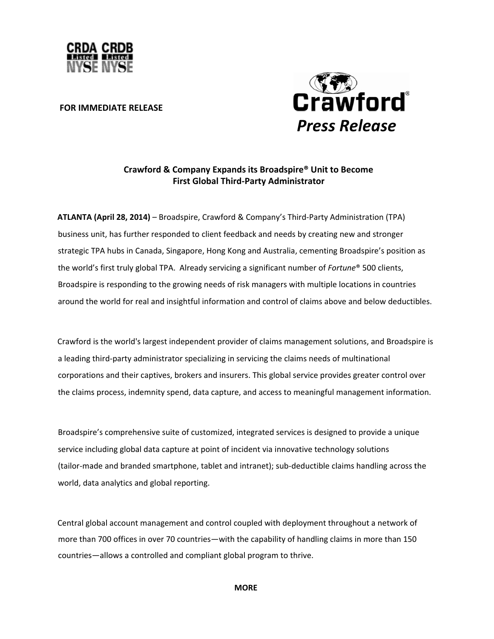

### **FOR IMMEDIATE RELEASE**



# Crawford & Company Expands its Broadspire® Unit to Become **First Global Third-Party Administrator**

ATLANTA (April 28, 2014) - Broadspire, Crawford & Company's Third-Party Administration (TPA) business unit, has further responded to client feedback and needs by creating new and stronger strategic TPA hubs in Canada, Singapore, Hong Kong and Australia, cementing Broadspire's position as the world's first truly global TPA. Already servicing a significant number of Fortune<sup>®</sup> 500 clients, Broadspire is responding to the growing needs of risk managers with multiple locations in countries around the world for real and insightful information and control of claims above and below deductibles.

Crawford is the world's largest independent provider of claims management solutions, and Broadspire is a leading third-party administrator specializing in servicing the claims needs of multinational corporations and their captives, brokers and insurers. This global service provides greater control over the claims process, indemnity spend, data capture, and access to meaningful management information.

Broadspire's comprehensive suite of customized, integrated services is designed to provide a unique service including global data capture at point of incident via innovative technology solutions (tailor-made and branded smartphone, tablet and intranet); sub-deductible claims handling across the world, data analytics and global reporting.

Central global account management and control coupled with deployment throughout a network of more than 700 offices in over 70 countries—with the capability of handling claims in more than 150 countries—allows a controlled and compliant global program to thrive.

**MORE**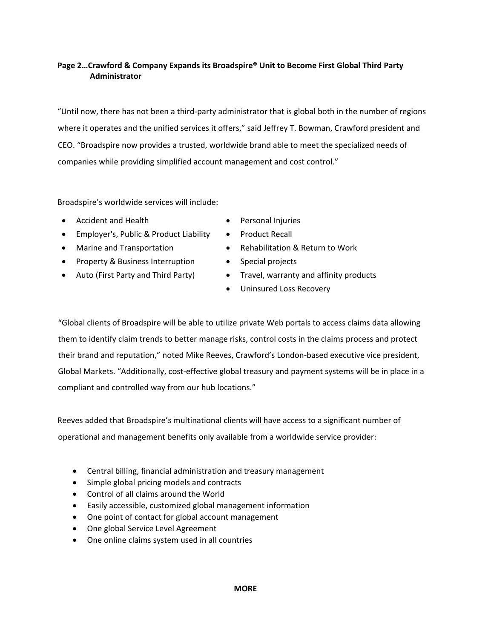# **Page 2…Crawford & Company Expands its Broadspire® Unit to Become First Global Third Party Administrator**

"Until now, there has not been a third‐party administrator that is global both in the number of regions where it operates and the unified services it offers," said Jeffrey T. Bowman, Crawford president and CEO. "Broadspire now provides a trusted, worldwide brand able to meet the specialized needs of companies while providing simplified account management and cost control."

Broadspire's worldwide services will include:

- Accident and Health Personal Injuries
- Employer's, Public & Product Liability • Product Recall
- 
- Property & Business Interruption Special projects
- 
- 
- 
- Marine and Transportation • Rehabilitation & Return to Work
	-
- Auto (First Party and Third Party) Travel, warranty and affinity products
	- Uninsured Loss Recovery

"Global clients of Broadspire will be able to utilize private Web portals to access claims data allowing them to identify claim trends to better manage risks, control costs in the claims process and protect their brand and reputation," noted Mike Reeves, Crawford's London‐based executive vice president, Global Markets. "Additionally, cost‐effective global treasury and payment systems will be in place in a compliant and controlled way from our hub locations."

Reeves added that Broadspire's multinational clients will have access to a significant number of operational and management benefits only available from a worldwide service provider:

- Central billing, financial administration and treasury management
- Simple global pricing models and contracts
- Control of all claims around the World
- Easily accessible, customized global management information
- One point of contact for global account management
- One global Service Level Agreement
- One online claims system used in all countries